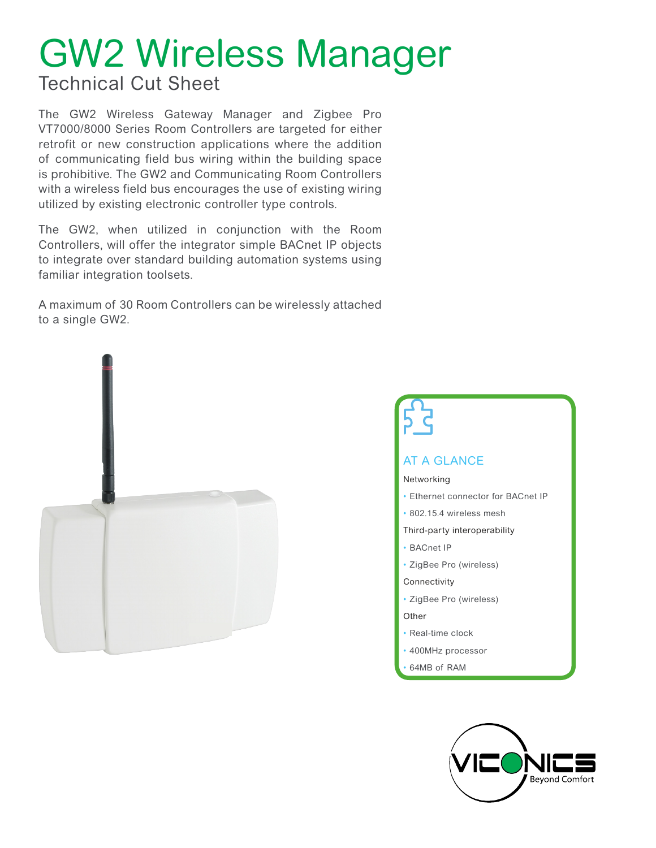# GW2 Wireless Manager

### Technical Cut Sheet

The GW2 Wireless Gateway Manager and Zigbee Pro VT7000/8000 Series Room Controllers are targeted for either retrofit or new construction applications where the addition of communicating field bus wiring within the building space is prohibitive. The GW2 and Communicating Room Controllers with a wireless field bus encourages the use of existing wiring utilized by existing electronic controller type controls.

The GW2, when utilized in conjunction with the Room Controllers, will offer the integrator simple BACnet IP objects to integrate over standard building automation systems using familiar integration toolsets.

A maximum of 30 Room Controllers can be wirelessly attached to a single GW2.





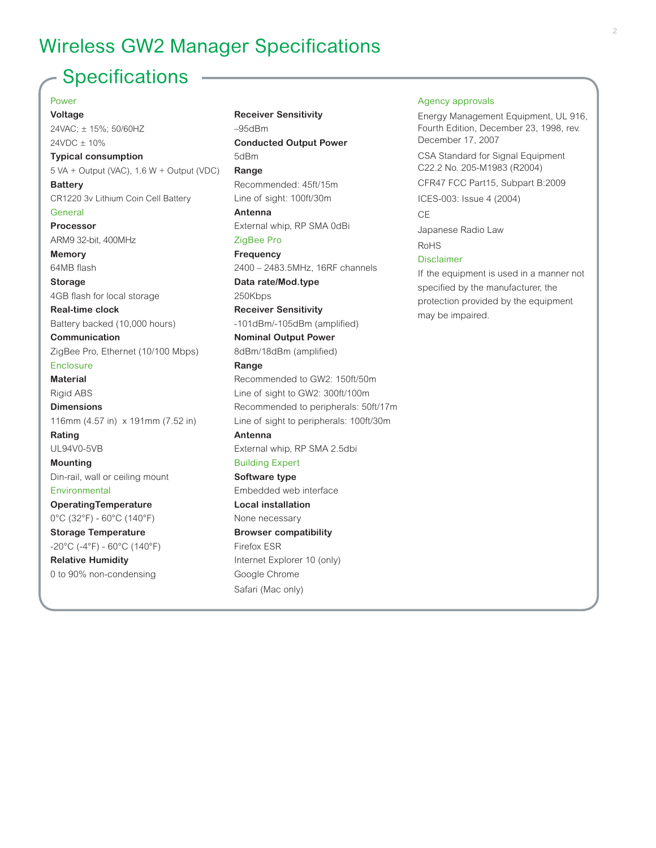### Wireless GW2 Manager Specifications

### **Specifications**

Power **Voltage** 24VAC; ± 15%; 50/60HZ 24VDC ± 10% **Typical consumption** 5 VA + Output (VAC), 1.6 W + Output (VDC) **Battery** CR1220 3v Lithium Coin Cell Battery **General Processor** ARM9 32-bit, 400MHz **Memory** 64MB flash **Storage**  4GB flash for local storage **Real-time clock**  Battery backed (10,000 hours) **Communication**  ZigBee Pro, Ethernet (10/100 Mbps) **Enclosure Material** Rigid ABS **Dimensions** 116mm (4.57 in) x 191mm (7.52 in) **Rating** UL94V0-5VB **Mounting**  Din-rail, wall or ceiling mount **Environmental OperatingTemperature** 0°C (32°F) - 60°C (140°F) **Storage Temperature** -20°C (-4°F) - 60°C (140°F) **Relative Humidity** 0 to 90% non-condensing

**Receiver Sensitivity** –95dBm **Conducted Output Power** 5dBm **Range** Recommended: 45ft/15m Line of sight: 100ft/30m **Antenna** External whip, RP SMA 0dBi ZigBee Pro **Frequency** 2400 – 2483.5MHz, 16RF channels **Data rate/Mod.type** 250Kbps **Receiver Sensitivity** -101dBm/-105dBm (amplified) **Nominal Output Power** 8dBm/18dBm (amplified) **Range** Recommended to GW2: 150ft/50m Line of sight to GW2: 300ft/100m Recommended to peripherals: 50ft/17m Line of sight to peripherals: 100ft/30m **Antenna** External whip, RP SMA 2.5dbi Building Expert **Software type** Embedded web interface **Local installation** None necessary **Browser compatibility** Firefox ESR Internet Explorer 10 (only) Google Chrome Safari (Mac only)

#### Agency approvals

Energy Management Equipment, UL 916, Fourth Edition, December 23, 1998, rev. December 17, 2007

CSA Standard for Signal Equipment C22.2 No. 205-M1983 (R2004)

CFR47 FCC Part15, Subpart B:2009

ICES-003: Issue 4 (2004)

**CE** 

Japanese Radio Law

RoHS

#### Disclaimer

If the equipment is used in a manner not specified by the manufacturer, the protection provided by the equipment may be impaired.